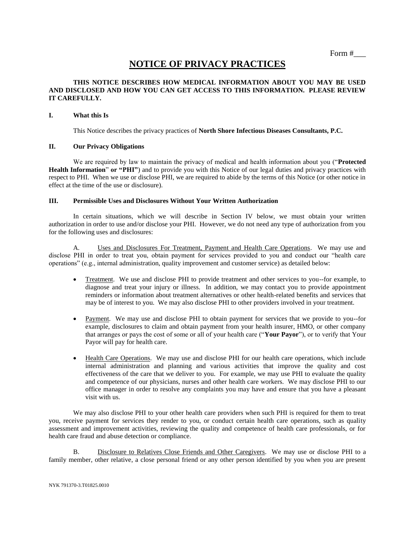# **NOTICE OF PRIVACY PRACTICES**

## **THIS NOTICE DESCRIBES HOW MEDICAL INFORMATION ABOUT YOU MAY BE USED AND DISCLOSED AND HOW YOU CAN GET ACCESS TO THIS INFORMATION. PLEASE REVIEW IT CAREFULLY.**

#### **I. What this Is**

This Notice describes the privacy practices of **North Shore Infectious Diseases Consultants, P.C.**

# **II. Our Privacy Obligations**

We are required by law to maintain the privacy of medical and health information about you ("**Protected Health Information**" **or "PHI"**) and to provide you with this Notice of our legal duties and privacy practices with respect to PHI. When we use or disclose PHI, we are required to abide by the terms of this Notice (or other notice in effect at the time of the use or disclosure).

## **III. Permissible Uses and Disclosures Without Your Written Authorization**

In certain situations, which we will describe in Section IV below, we must obtain your written authorization in order to use and/or disclose your PHI. However, we do not need any type of authorization from you for the following uses and disclosures:

A. Uses and Disclosures For Treatment, Payment and Health Care Operations. We may use and disclose PHI in order to treat you, obtain payment for services provided to you and conduct our "health care operations" (e.g., internal administration, quality improvement and customer service) as detailed below:

- Treatment. We use and disclose PHI to provide treatment and other services to you--for example, to diagnose and treat your injury or illness. In addition, we may contact you to provide appointment reminders or information about treatment alternatives or other health-related benefits and services that may be of interest to you. We may also disclose PHI to other providers involved in your treatment.
- Payment. We may use and disclose PHI to obtain payment for services that we provide to you--for example, disclosures to claim and obtain payment from your health insurer, HMO, or other company that arranges or pays the cost of some or all of your health care ("**Your Payor**"), or to verify that Your Payor will pay for health care.
- Health Care Operations. We may use and disclose PHI for our health care operations, which include internal administration and planning and various activities that improve the quality and cost effectiveness of the care that we deliver to you. For example, we may use PHI to evaluate the quality and competence of our physicians, nurses and other health care workers. We may disclose PHI to our office manager in order to resolve any complaints you may have and ensure that you have a pleasant visit with us.

We may also disclose PHI to your other health care providers when such PHI is required for them to treat you, receive payment for services they render to you, or conduct certain health care operations, such as quality assessment and improvement activities, reviewing the quality and competence of health care professionals, or for health care fraud and abuse detection or compliance.

B. Disclosure to Relatives Close Friends and Other Caregivers. We may use or disclose PHI to a family member, other relative, a close personal friend or any other person identified by you when you are present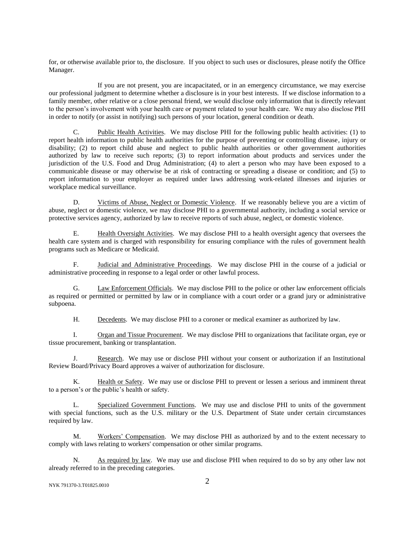for, or otherwise available prior to, the disclosure. If you object to such uses or disclosures, please notify the Office Manager.

If you are not present, you are incapacitated, or in an emergency circumstance, we may exercise our professional judgment to determine whether a disclosure is in your best interests. If we disclose information to a family member, other relative or a close personal friend, we would disclose only information that is directly relevant to the person's involvement with your health care or payment related to your health care. We may also disclose PHI in order to notify (or assist in notifying) such persons of your location, general condition or death.

C. Public Health Activities. We may disclose PHI for the following public health activities: (1) to report health information to public health authorities for the purpose of preventing or controlling disease, injury or disability; (2) to report child abuse and neglect to public health authorities or other government authorities authorized by law to receive such reports; (3) to report information about products and services under the jurisdiction of the U.S. Food and Drug Administration; (4) to alert a person who may have been exposed to a communicable disease or may otherwise be at risk of contracting or spreading a disease or condition; and (5) to report information to your employer as required under laws addressing work-related illnesses and injuries or workplace medical surveillance.

D. Victims of Abuse, Neglect or Domestic Violence. If we reasonably believe you are a victim of abuse, neglect or domestic violence, we may disclose PHI to a governmental authority, including a social service or protective services agency, authorized by law to receive reports of such abuse, neglect, or domestic violence.

E. Health Oversight Activities. We may disclose PHI to a health oversight agency that oversees the health care system and is charged with responsibility for ensuring compliance with the rules of government health programs such as Medicare or Medicaid.

F. Judicial and Administrative Proceedings. We may disclose PHI in the course of a judicial or administrative proceeding in response to a legal order or other lawful process.

G. Law Enforcement Officials. We may disclose PHI to the police or other law enforcement officials as required or permitted or permitted by law or in compliance with a court order or a grand jury or administrative subpoena.

H. Decedents. We may disclose PHI to a coroner or medical examiner as authorized by law.

I. Organ and Tissue Procurement. We may disclose PHI to organizations that facilitate organ, eye or tissue procurement, banking or transplantation.

J. Research. We may use or disclose PHI without your consent or authorization if an Institutional Review Board/Privacy Board approves a waiver of authorization for disclosure.

K. Health or Safety. We may use or disclose PHI to prevent or lessen a serious and imminent threat to a person's or the public's health or safety.

L. Specialized Government Functions. We may use and disclose PHI to units of the government with special functions, such as the U.S. military or the U.S. Department of State under certain circumstances required by law.

M. Workers' Compensation. We may disclose PHI as authorized by and to the extent necessary to comply with laws relating to workers' compensation or other similar programs.

N. As required by law. We may use and disclose PHI when required to do so by any other law not already referred to in the preceding categories.

```
NYK 791370-3.T01825.0010 2
```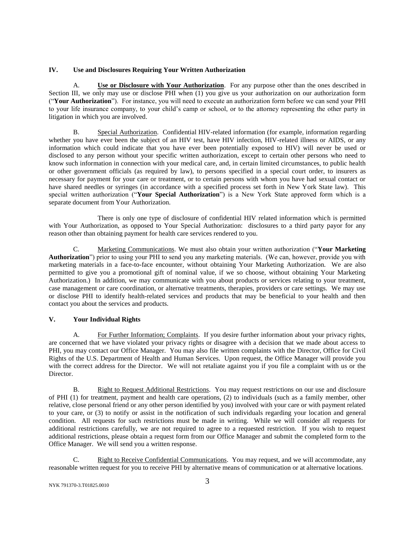#### **IV. Use and Disclosures Requiring Your Written Authorization**

A. **Use or Disclosure with Your Authorization**. For any purpose other than the ones described in Section III, we only may use or disclose PHI when (1) you give us your authorization on our authorization form ("**Your Authorization**"). For instance, you will need to execute an authorization form before we can send your PHI to your life insurance company, to your child's camp or school, or to the attorney representing the other party in litigation in which you are involved.

B. Special Authorization. Confidential HIV-related information (for example, information regarding whether you have ever been the subject of an HIV test, have HIV infection, HIV-related illness or AIDS, or any information which could indicate that you have ever been potentially exposed to HIV) will never be used or disclosed to any person without your specific written authorization, except to certain other persons who need to know such information in connection with your medical care, and, in certain limited circumstances, to public health or other government officials (as required by law), to persons specified in a special court order, to insurers as necessary for payment for your care or treatment, or to certain persons with whom you have had sexual contact or have shared needles or syringes (in accordance with a specified process set forth in New York State law). This special written authorization ("**Your Special Authorization**") is a New York State approved form which is a separate document from Your Authorization.

There is only one type of disclosure of confidential HIV related information which is permitted with Your Authorization, as opposed to Your Special Authorization: disclosures to a third party payor for any reason other than obtaining payment for health care services rendered to you.

C. Marketing Communications. We must also obtain your written authorization ("**Your Marketing Authorization**") prior to using your PHI to send you any marketing materials. (We can, however, provide you with marketing materials in a face-to-face encounter, without obtaining Your Marketing Authorization. We are also permitted to give you a promotional gift of nominal value, if we so choose, without obtaining Your Marketing Authorization.) In addition, we may communicate with you about products or services relating to your treatment, case management or care coordination, or alternative treatments, therapies, providers or care settings. We may use or disclose PHI to identify health-related services and products that may be beneficial to your health and then contact you about the services and products.

# **V. Your Individual Rights**

A. For Further Information; Complaints. If you desire further information about your privacy rights, are concerned that we have violated your privacy rights or disagree with a decision that we made about access to PHI, you may contact our Office Manager. You may also file written complaints with the Director, Office for Civil Rights of the U.S. Department of Health and Human Services. Upon request, the Office Manager will provide you with the correct address for the Director. We will not retaliate against you if you file a complaint with us or the Director.

B. Right to Request Additional Restrictions. You may request restrictions on our use and disclosure of PHI (1) for treatment, payment and health care operations, (2) to individuals (such as a family member, other relative, close personal friend or any other person identified by you) involved with your care or with payment related to your care, or (3) to notify or assist in the notification of such individuals regarding your location and general condition. All requests for such restrictions must be made in writing. While we will consider all requests for additional restrictions carefully, we are not required to agree to a requested restriction. If you wish to request additional restrictions, please obtain a request form from our Office Manager and submit the completed form to the Office Manager. We will send you a written response.

C. Right to Receive Confidential Communications. You may request, and we will accommodate, any reasonable written request for you to receive PHI by alternative means of communication or at alternative locations.